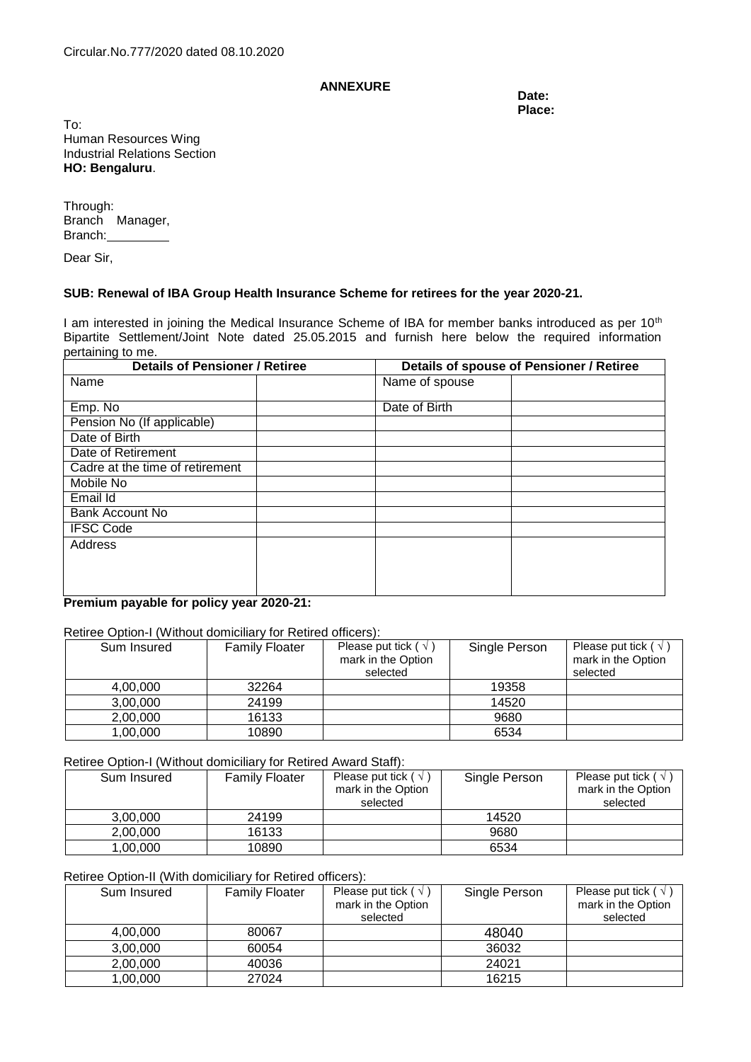# ANNEXURE Date:

**Place:**

To: Human Resources Wing Industrial Relations Section **HO: Bengaluru**.

Through: Branch Manager, Branch:

Dear Sir,

### **SUB: Renewal of IBA Group Health Insurance Scheme for retirees for the year 2020-21.**

I am interested in joining the Medical Insurance Scheme of IBA for member banks introduced as per 10<sup>th</sup> Bipartite Settlement/Joint Note dated 25.05.2015 and furnish here below the required information pertaining to me.

| <b>Details of Pensioner / Retiree</b> |  | Details of spouse of Pensioner / Retiree |  |  |
|---------------------------------------|--|------------------------------------------|--|--|
| Name                                  |  | Name of spouse                           |  |  |
| Emp. No                               |  | Date of Birth                            |  |  |
| Pension No (If applicable)            |  |                                          |  |  |
| Date of Birth                         |  |                                          |  |  |
| Date of Retirement                    |  |                                          |  |  |
| Cadre at the time of retirement       |  |                                          |  |  |
| Mobile No                             |  |                                          |  |  |
| Email Id                              |  |                                          |  |  |
| <b>Bank Account No</b>                |  |                                          |  |  |
| <b>IFSC Code</b>                      |  |                                          |  |  |
| Address                               |  |                                          |  |  |
|                                       |  |                                          |  |  |
|                                       |  |                                          |  |  |
|                                       |  |                                          |  |  |

**Premium payable for policy year 2020-21:**

## Retiree Option-I (Without domiciliary for Retired officers):

| Sum Insured | <b>Family Floater</b> | Please put tick ( $\sqrt{}$ )<br>mark in the Option<br>selected | Single Person | Please put tick ( $\sqrt{}$ )<br>mark in the Option<br>selected |
|-------------|-----------------------|-----------------------------------------------------------------|---------------|-----------------------------------------------------------------|
| 4,00,000    | 32264                 |                                                                 | 19358         |                                                                 |
| 3,00,000    | 24199                 |                                                                 | 14520         |                                                                 |
| 2,00,000    | 16133                 |                                                                 | 9680          |                                                                 |
| 1,00,000    | 10890                 |                                                                 | 6534          |                                                                 |

Retiree Option-I (Without domiciliary for Retired Award Staff):

| Sum Insured | <b>Family Floater</b> | Please put tick ( $\sqrt{ }$ )<br>mark in the Option<br>selected | Single Person | Please put tick ( $\sqrt{ }$ )<br>mark in the Option<br>selected |
|-------------|-----------------------|------------------------------------------------------------------|---------------|------------------------------------------------------------------|
| 3.00.000    | 24199                 |                                                                  | 14520         |                                                                  |
| 2.00.000    | 16133                 |                                                                  | 9680          |                                                                  |
| 1,00,000    | 10890                 |                                                                  | 6534          |                                                                  |

### Retiree Option-II (With domiciliary for Retired officers):

| Sum Insured | <b>Family Floater</b> | Please put tick ( $\sqrt{}$ )<br>mark in the Option<br>selected | Single Person | Please put tick ( $\sqrt{ }$ )<br>mark in the Option<br>selected |
|-------------|-----------------------|-----------------------------------------------------------------|---------------|------------------------------------------------------------------|
| 4.00.000    | 80067                 |                                                                 | 48040         |                                                                  |
| 3.00.000    | 60054                 |                                                                 | 36032         |                                                                  |
| 2,00,000    | 40036                 |                                                                 | 24021         |                                                                  |
| 1,00,000    | 27024                 |                                                                 | 16215         |                                                                  |